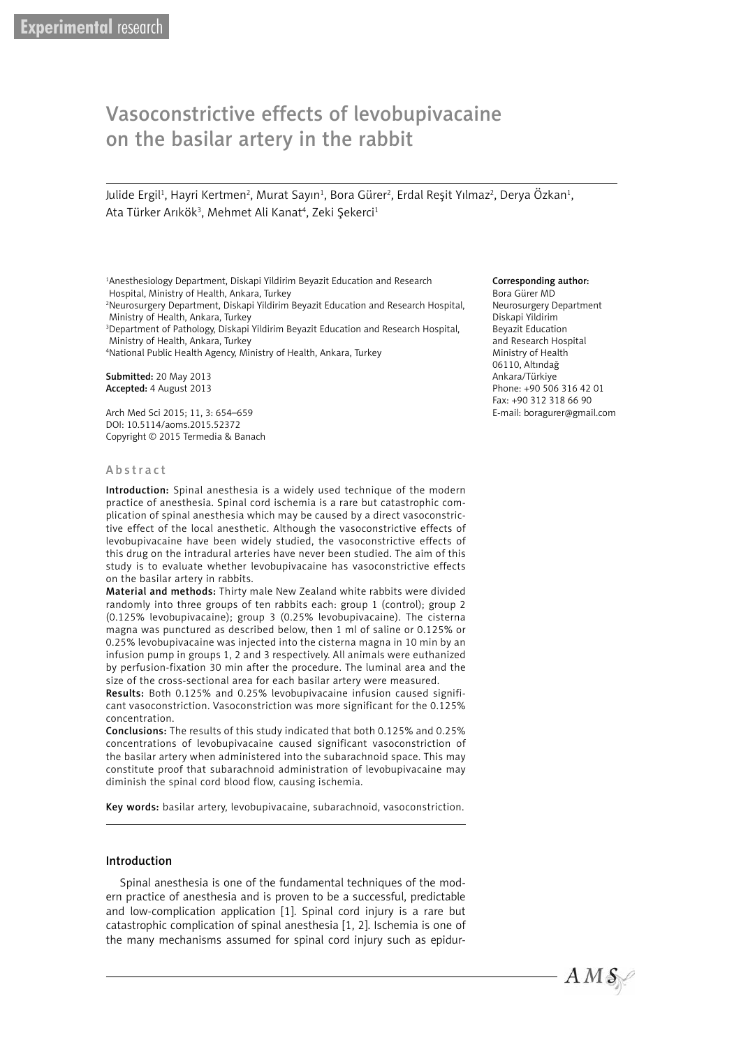# Vasoconstrictive effects of levobupivacaine on the basilar artery in the rabbit

Julide Ergil<sup>ı</sup>, Hayri Kertmen<sup>2</sup>, Murat Sayın<sup>ı</sup>, Bora Gürer<sup>2</sup>, Erdal Reşit Yılmaz<sup>2</sup>, Derya Özkan<sup>ı</sup>, Ata Türker Arıkök<sup>3</sup>, Mehmet Ali Kanat<sup>4</sup>, Zeki Şekerci<sup>1</sup>

1 Anesthesiology Department, Diskapi Yildirim Beyazit Education and Research Hospital, Ministry of Health, Ankara, Turkey

2 Neurosurgery Department, Diskapi Yildirim Beyazit Education and Research Hospital, Ministry of Health, Ankara, Turkey

3 Department of Pathology, Diskapi Yildirim Beyazit Education and Research Hospital, Ministry of Health, Ankara, Turkey

4 National Public Health Agency, Ministry of Health, Ankara, Turkey

Submitted: 20 May 2013 Accepted: 4 August 2013

Arch Med Sci 2015; 11, 3: 654–659 DOI: 10.5114/aoms.2015.52372 Copyright © 2015 Termedia & Banach

#### Abstract

Introduction: Spinal anesthesia is a widely used technique of the modern practice of anesthesia. Spinal cord ischemia is a rare but catastrophic complication of spinal anesthesia which may be caused by a direct vasoconstrictive effect of the local anesthetic. Although the vasoconstrictive effects of levobupivacaine have been widely studied, the vasoconstrictive effects of this drug on the intradural arteries have never been studied. The aim of this study is to evaluate whether levobupivacaine has vasoconstrictive effects on the basilar artery in rabbits.

Material and methods: Thirty male New Zealand white rabbits were divided randomly into three groups of ten rabbits each: group 1 (control); group 2 (0.125% levobupivacaine); group 3 (0.25% levobupivacaine). The cisterna magna was punctured as described below, then 1 ml of saline or 0.125% or 0.25% levobupivacaine was injected into the cisterna magna in 10 min by an infusion pump in groups 1, 2 and 3 respectively. All animals were euthanized by perfusion-fixation 30 min after the procedure. The luminal area and the size of the cross-sectional area for each basilar artery were measured.

Results: Both 0.125% and 0.25% levobupivacaine infusion caused significant vasoconstriction. Vasoconstriction was more significant for the 0.125% concentration.

Conclusions: The results of this study indicated that both 0.125% and 0.25% concentrations of levobupivacaine caused significant vasoconstriction of the basilar artery when administered into the subarachnoid space. This may constitute proof that subarachnoid administration of levobupivacaine may diminish the spinal cord blood flow, causing ischemia.

Key words: basilar artery, levobupivacaine, subarachnoid, vasoconstriction.

#### Introduction

Spinal anesthesia is one of the fundamental techniques of the modern practice of anesthesia and is proven to be a successful, predictable and low-complication application [1]. Spinal cord injury is a rare but catastrophic complication of spinal anesthesia [1, 2]. Ischemia is one of the many mechanisms assumed for spinal cord injury such as epidur-

#### Corresponding author:

Bora Gürer MD Neurosurgery Department Diskapi Yildirim Beyazit Education and Research Hospital Ministry of Health 06110, Altındağ Ankara/Türkiye Phone: +90 506 316 42 01 Fax: +90 312 318 66 90 E-mail: boragurer@gmail.com

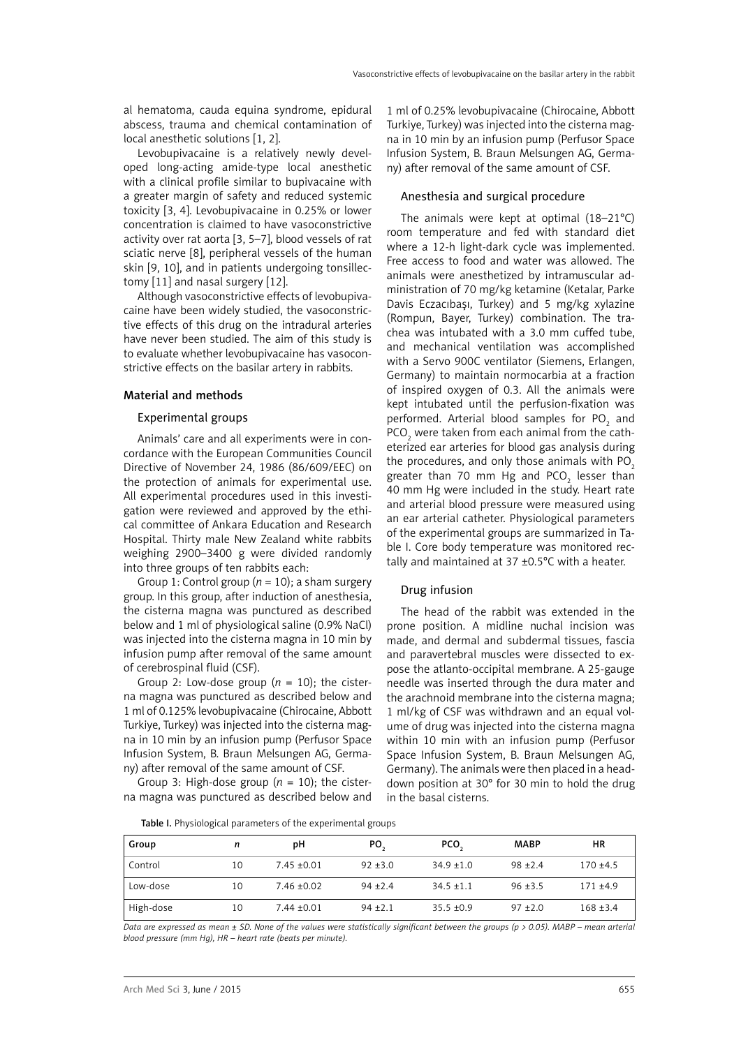al hematoma, cauda equina syndrome, epidural abscess, trauma and chemical contamination of local anesthetic solutions [1, 2].

Levobupivacaine is a relatively newly developed long-acting amide-type local anesthetic with a clinical profile similar to bupivacaine with a greater margin of safety and reduced systemic toxicity [3, 4]. Levobupivacaine in 0.25% or lower concentration is claimed to have vasoconstrictive activity over rat aorta [3, 5–7], blood vessels of rat sciatic nerve [8], peripheral vessels of the human skin [9, 10], and in patients undergoing tonsillectomy [11] and nasal surgery [12].

Although vasoconstrictive effects of levobupivacaine have been widely studied, the vasoconstrictive effects of this drug on the intradural arteries have never been studied. The aim of this study is to evaluate whether levobupivacaine has vasoconstrictive effects on the basilar artery in rabbits.

## Material and methods

## Experimental groups

Animals' care and all experiments were in concordance with the European Communities Council Directive of November 24, 1986 (86/609/EEC) on the protection of animals for experimental use. All experimental procedures used in this investigation were reviewed and approved by the ethical committee of Ankara Education and Research Hospital. Thirty male New Zealand white rabbits weighing 2900–3400 g were divided randomly into three groups of ten rabbits each:

Group 1: Control group (*n* = 10); a sham surgery group. In this group, after induction of anesthesia, the cisterna magna was punctured as described below and 1 ml of physiological saline (0.9% NaCl) was injected into the cisterna magna in 10 min by infusion pump after removal of the same amount of cerebrospinal fluid (CSF).

Group 2: Low-dose group  $(n = 10)$ ; the cisterna magna was punctured as described below and 1 ml of 0.125% levobupivacaine (Chirocaine, Abbott Turkiye, Turkey) was injected into the cisterna magna in 10 min by an infusion pump (Perfusor Space Infusion System, B. Braun Melsungen AG, Germany) after removal of the same amount of CSF.

Group 3: High-dose group  $(n = 10)$ ; the cisterna magna was punctured as described below and

1 ml of 0.25% levobupivacaine (Chirocaine, Abbott Turkiye, Turkey) was injected into the cisterna magna in 10 min by an infusion pump (Perfusor Space Infusion System, B. Braun Melsungen AG, Germany) after removal of the same amount of CSF.

# Anesthesia and surgical procedure

The animals were kept at optimal (18–21°C) room temperature and fed with standard diet where a 12-h light-dark cycle was implemented. Free access to food and water was allowed. The animals were anesthetized by intramuscular administration of 70 mg/kg ketamine (Ketalar, Parke Davis Eczacıbaşı, Turkey) and 5 mg/kg xylazine (Rompun, Bayer, Turkey) combination. The trachea was intubated with a 3.0 mm cuffed tube, and mechanical ventilation was accomplished with a Servo 900C ventilator (Siemens, Erlangen, Germany) to maintain normocarbia at a fraction of inspired oxygen of 0.3. All the animals were kept intubated until the perfusion-fixation was performed. Arterial blood samples for  $PO_2$  and  $PCO<sub>2</sub>$  were taken from each animal from the catheterized ear arteries for blood gas analysis during the procedures, and only those animals with  $PO<sub>2</sub>$ greater than 70 mm Hg and PCO<sub>2</sub> lesser than 40 mm Hg were included in the study. Heart rate and arterial blood pressure were measured using an ear arterial catheter. Physiological parameters of the experimental groups are summarized in Table I. Core body temperature was monitored rectally and maintained at 37 ±0.5°C with a heater.

## Drug infusion

The head of the rabbit was extended in the prone position. A midline nuchal incision was made, and dermal and subdermal tissues, fascia and paravertebral muscles were dissected to expose the atlanto-occipital membrane. A 25-gauge needle was inserted through the dura mater and the arachnoid membrane into the cisterna magna; 1 ml/kg of CSF was withdrawn and an equal volume of drug was injected into the cisterna magna within 10 min with an infusion pump (Perfusor Space Infusion System, B. Braun Melsungen AG, Germany). The animals were then placed in a headdown position at 30° for 30 min to hold the drug in the basal cisterns.

Table I. Physiological parameters of the experimental groups

| Group     | n  | рH              | PO,        | PCO.           | <b>MABP</b> | ΗR          |
|-----------|----|-----------------|------------|----------------|-------------|-------------|
| Control   | 10 | $7.45 \pm 0.01$ | $92 + 3.0$ | $34.9 \pm 1.0$ | $98 + 2.4$  | $170 + 4.5$ |
| Low-dose  | 10 | $7.46 \pm 0.02$ | $94 + 2.4$ | $34.5 \pm 1.1$ | $96 + 3.5$  | $171 + 4.9$ |
| High-dose | 10 | $7.44 \pm 0.01$ | $94 + 2.1$ | $35.5 \pm 0.9$ | $97 + 2.0$  | $168 + 3.4$ |

*Data are expressed as mean ± SD. None of the values were statistically significant between the groups (p > 0.05). MABP – mean arterial blood pressure (mm Hg), HR – heart rate (beats per minute).*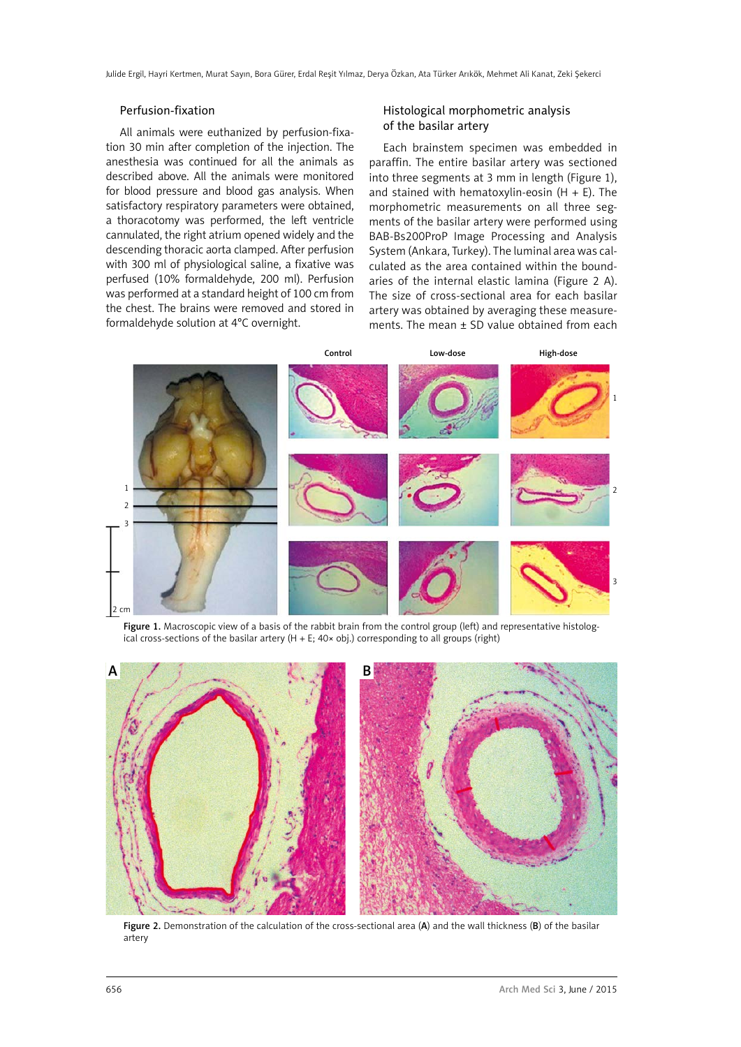Julide Ergil, Hayri Kertmen, Murat Sayın, Bora Gürer, Erdal Reşit Yılmaz, Derya Özkan, Ata Türker Arıkök, Mehmet Ali Kanat, Zeki Şekerci

## Perfusion-fixation

All animals were euthanized by perfusion-fixation 30 min after completion of the injection. The anesthesia was continued for all the animals as described above. All the animals were monitored for blood pressure and blood gas analysis. When satisfactory respiratory parameters were obtained, a thoracotomy was performed, the left ventricle cannulated, the right atrium opened widely and the descending thoracic aorta clamped. After perfusion with 300 ml of physiological saline, a fixative was perfused (10% formaldehyde, 200 ml). Perfusion was performed at a standard height of 100 cm from the chest. The brains were removed and stored in formaldehyde solution at 4°C overnight.

# Histological morphometric analysis of the basilar artery

Each brainstem specimen was embedded in paraffin. The entire basilar artery was sectioned into three segments at 3 mm in length (Figure 1), and stained with hematoxylin-eosin  $(H + E)$ . The morphometric measurements on all three segments of the basilar artery were performed using BAB-Bs200ProP Image Processing and Analysis System (Ankara, Turkey). The luminal area was calculated as the area contained within the boundaries of the internal elastic lamina (Figure 2 A). The size of cross-sectional area for each basilar artery was obtained by averaging these measurements. The mean  $\pm$  SD value obtained from each



Figure 1. Macroscopic view of a basis of the rabbit brain from the control group (left) and representative histological cross-sections of the basilar artery (H + E; 40× obj.) corresponding to all groups (right)



Figure 2. Demonstration of the calculation of the cross-sectional area (A) and the wall thickness (B) of the basilar artery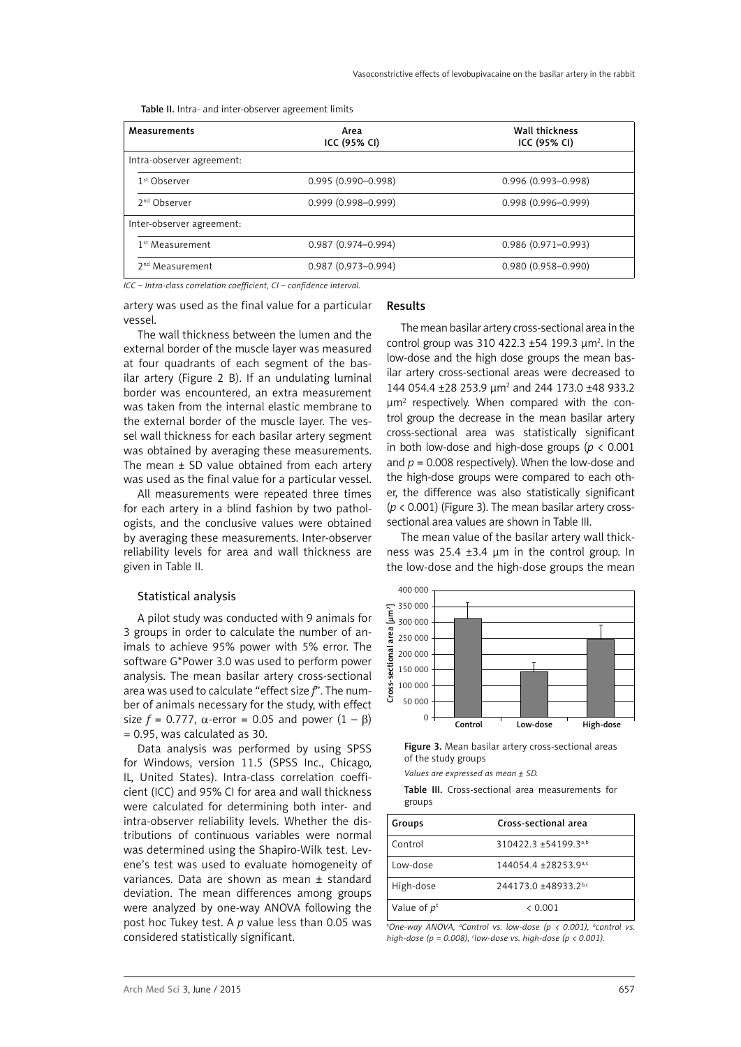Table II. Intra- and inter-observer agreement limits

| <b>Measurements</b>         | Area<br>ICC (95% CI)   | <b>Wall thickness</b><br>ICC (95% CI) |  |
|-----------------------------|------------------------|---------------------------------------|--|
| Intra-observer agreement:   |                        |                                       |  |
| 1 <sup>st</sup> Observer    | $0.995(0.990 - 0.998)$ | $0.996(0.993 - 0.998)$                |  |
| 2 <sup>nd</sup> Observer    | $0.999(0.998 - 0.999)$ | $0.998(0.996 - 0.999)$                |  |
| Inter-observer agreement:   |                        |                                       |  |
| 1 <sup>st</sup> Measurement | $0.987(0.974 - 0.994)$ | $0.986(0.971 - 0.993)$                |  |
| 2 <sup>nd</sup> Measurement | $0.987(0.973 - 0.994)$ | $0.980(0.958 - 0.990)$                |  |

*ICC – Intra-class correlation coefficient, CI – confidence interval.*

artery was used as the final value for a particular vessel.

The wall thickness between the lumen and the external border of the muscle layer was measured at four quadrants of each segment of the basilar artery (Figure 2 B). If an undulating luminal border was encountered, an extra measurement was taken from the internal elastic membrane to the external border of the muscle layer. The vessel wall thickness for each basilar artery segment was obtained by averaging these measurements. The mean  $\pm$  SD value obtained from each artery was used as the final value for a particular vessel.

All measurements were repeated three times for each artery in a blind fashion by two pathologists, and the conclusive values were obtained by averaging these measurements. Inter-observer reliability levels for area and wall thickness are given in Table II.

#### Statistical analysis

A pilot study was conducted with 9 animals for 3 groups in order to calculate the number of animals to achieve 95% power with 5% error. The software G\*Power 3.0 was used to perform power analysis. The mean basilar artery cross-sectional area was used to calculate "effect size *f*". The number of animals necessary for the study, with effect size  $f = 0.777$ ,  $\alpha$ -error = 0.05 and power  $(1 - \beta)$ = 0.95, was calculated as 30.

Data analysis was performed by using SPSS for Windows, version 11.5 (SPSS Inc., Chicago, IL, United States). Intra-class correlation coefficient (ICC) and 95% CI for area and wall thickness were calculated for determining both inter- and intra-observer reliability levels. Whether the distributions of continuous variables were normal was determined using the Shapiro-Wilk test. Levene's test was used to evaluate homogeneity of variances. Data are shown as mean ± standard deviation. The mean differences among groups were analyzed by one-way ANOVA following the post hoc Tukey test. A *p* value less than 0.05 was considered statistically significant.

## Results

The mean basilar artery cross-sectional area in the control group was 310 422.3  $\pm$ 54 199.3  $\mu$ m<sup>2</sup>. In the low-dose and the high dose groups the mean basilar artery cross-sectional areas were decreased to 144 054.4 ±28 253.9 µm<sup>2</sup> and 244 173.0 ±48 933.2 µm2 respectively. When compared with the control group the decrease in the mean basilar artery cross-sectional area was statistically significant in both low-dose and high-dose groups (*p* < 0.001 and  $p = 0.008$  respectively). When the low-dose and the high-dose groups were compared to each other, the difference was also statistically significant (*p* < 0.001) (Figure 3). The mean basilar artery crosssectional area values are shown in Table III.

The mean value of the basilar artery wall thickness was 25.4 ±3.4 µm in the control group. In the low-dose and the high-dose groups the mean



Figure 3. Mean basilar artery cross-sectional areas of the study groups

*Values are expressed as mean ± SD.*

Table III. Cross-sectional area measurements for groups

| Groups         | Cross-sectional area |
|----------------|----------------------|
| Control        | 310422.3 ±54199.3a,b |
| Jow-dose       | 144054.4 ±28253.9a,c |
| High-dose      | 244173.0 ±48933.2bc  |
| Value of $p^*$ | $\leq 0.001$         |

*‡ One-way ANOVA, a Control vs. low-dose (p < 0.001), b control vs. high-dose (p = 0.008), c low-dose vs. high-dose (p < 0.001).*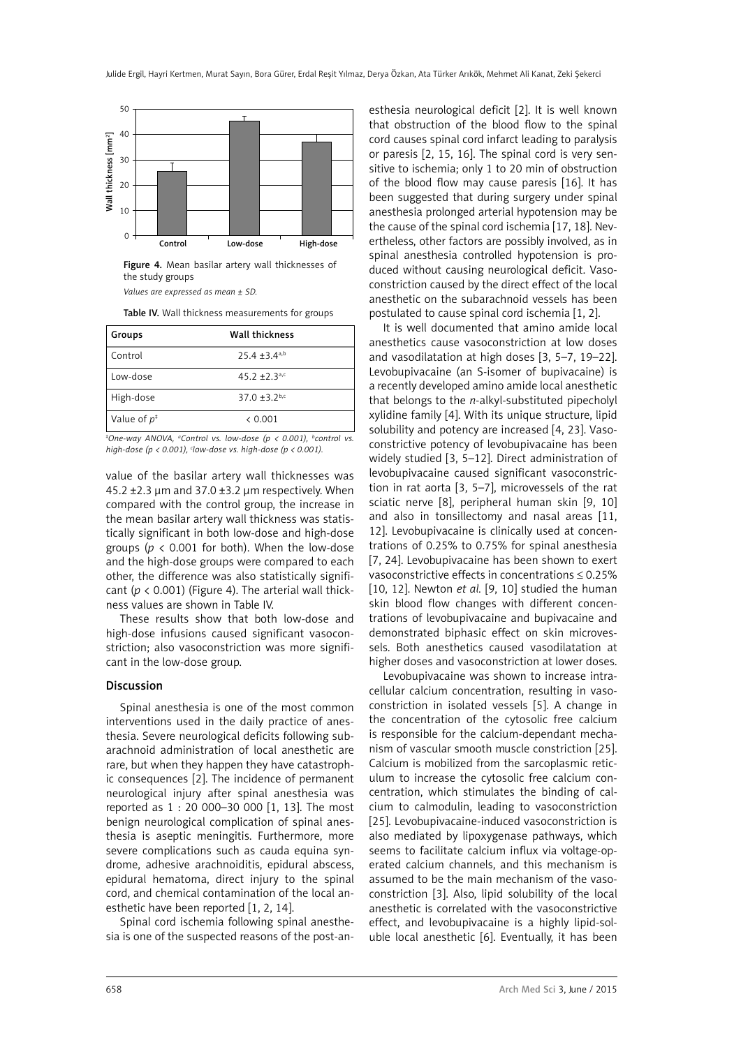

Figure 4. Mean basilar artery wall thicknesses of the study groups

*Values are expressed as mean ± SD.*

Table IV. Wall thickness measurements for groups

| Groups         | <b>Wall thickness</b> |
|----------------|-----------------------|
| Control        | $25.4 + 3.4a$         |
| Low-dose       | $45.2 + 2.3^{a,c}$    |
| High-dose      | 37.0 $\pm$ 3.2b,c     |
| Value of $p^*$ | & 0.001               |

*‡ One-way ANOVA, a Control vs. low-dose (p < 0.001), b control vs. high-dose (p < 0.001), c low-dose vs. high-dose (p < 0.001).*

value of the basilar artery wall thicknesses was 45.2  $\pm$ 2.3 µm and 37.0  $\pm$ 3.2 µm respectively. When compared with the control group, the increase in the mean basilar artery wall thickness was statistically significant in both low-dose and high-dose groups ( $p < 0.001$  for both). When the low-dose and the high-dose groups were compared to each other, the difference was also statistically significant  $(p < 0.001)$  (Figure 4). The arterial wall thickness values are shown in Table IV.

These results show that both low-dose and high-dose infusions caused significant vasoconstriction; also vasoconstriction was more significant in the low-dose group.

### Discussion

Spinal anesthesia is one of the most common interventions used in the daily practice of anesthesia. Severe neurological deficits following subarachnoid administration of local anesthetic are rare, but when they happen they have catastrophic consequences [2]. The incidence of permanent neurological injury after spinal anesthesia was reported as 1 : 20 000–30 000 [1, 13]. The most benign neurological complication of spinal anesthesia is aseptic meningitis. Furthermore, more severe complications such as cauda equina syndrome, adhesive arachnoiditis, epidural abscess, epidural hematoma, direct injury to the spinal cord, and chemical contamination of the local anesthetic have been reported [1, 2, 14].

Spinal cord ischemia following spinal anesthesia is one of the suspected reasons of the post-an-

esthesia neurological deficit [2]. It is well known that obstruction of the blood flow to the spinal cord causes spinal cord infarct leading to paralysis or paresis [2, 15, 16]. The spinal cord is very sensitive to ischemia; only 1 to 20 min of obstruction of the blood flow may cause paresis [16]. It has been suggested that during surgery under spinal anesthesia prolonged arterial hypotension may be the cause of the spinal cord ischemia [17, 18]. Nevertheless, other factors are possibly involved, as in spinal anesthesia controlled hypotension is produced without causing neurological deficit. Vasoconstriction caused by the direct effect of the local anesthetic on the subarachnoid vessels has been postulated to cause spinal cord ischemia [1, 2].

It is well documented that amino amide local anesthetics cause vasoconstriction at low doses and vasodilatation at high doses [3, 5–7, 19–22]. Levobupivacaine (an S-isomer of bupivacaine) is a recently developed amino amide local anesthetic that belongs to the *n*-alkyl-substituted pipecholyl xylidine family [4]. With its unique structure, lipid solubility and potency are increased [4, 23]. Vasoconstrictive potency of levobupivacaine has been widely studied [3, 5–12]. Direct administration of levobupivacaine caused significant vasoconstriction in rat aorta [3, 5–7], microvessels of the rat sciatic nerve [8], peripheral human skin [9, 10] and also in tonsillectomy and nasal areas [11, 12]. Levobupivacaine is clinically used at concentrations of 0.25% to 0.75% for spinal anesthesia [7, 24]. Levobupivacaine has been shown to exert vasoconstrictive effects in concentrations ≤ 0.25% [10, 12]. Newton *et al.* [9, 10] studied the human skin blood flow changes with different concentrations of levobupivacaine and bupivacaine and demonstrated biphasic effect on skin microvessels. Both anesthetics caused vasodilatation at higher doses and vasoconstriction at lower doses.

Levobupivacaine was shown to increase intracellular calcium concentration, resulting in vasoconstriction in isolated vessels [5]. A change in the concentration of the cytosolic free calcium is responsible for the calcium-dependant mechanism of vascular smooth muscle constriction [25]. Calcium is mobilized from the sarcoplasmic reticulum to increase the cytosolic free calcium concentration, which stimulates the binding of calcium to calmodulin, leading to vasoconstriction [25]. Levobupivacaine-induced vasoconstriction is also mediated by lipoxygenase pathways, which seems to facilitate calcium influx via voltage-operated calcium channels, and this mechanism is assumed to be the main mechanism of the vasoconstriction [3]. Also, lipid solubility of the local anesthetic is correlated with the vasoconstrictive effect, and levobupivacaine is a highly lipid-soluble local anesthetic [6]. Eventually, it has been